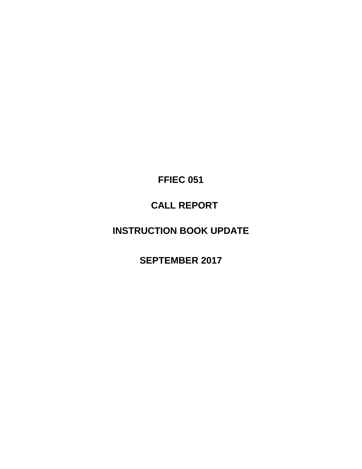**FFIEC 051** 

# **CALL REPORT**

# **INSTRUCTION BOOK UPDATE**

**SEPTEMBER 2017**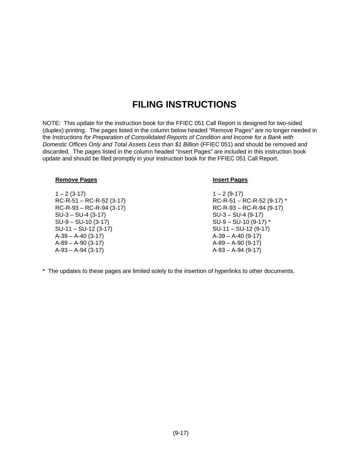# **FILING INSTRUCTIONS**

NOTE: This update for the instruction book for the FFIEC 051 Call Report is designed for two-sided (duplex) printing. The pages listed in the column below headed "Remove Pages" are no longer needed in the *Instructions for Preparation of Consolidated Reports of Condition and Income for a Bank with Domestic Offices Only and Total Assets Less than \$1 Billion* (FFIEC 051) and should be removed and discarded. The pages listed in the column headed "Insert Pages" are included in this instruction book update and should be filed promptly in your instruction book for the FFIEC 051 Call Report.

#### **Remove Pages Insert Pages**

 $1 - 2 (3-17)$   $1 - 2 (9-17)$ RC-R-93 – RC-R-94 (3-17) RC-R-93 – RC-R-94 (9-17) SU-3 – SU-4 (3-17) SU-3 – SU-4 (9-17) SU-9 – SU-10 (3-17) SU-9 – SU-10 (9-17) \* SU-11 – SU-12 (3-17) SU-11 – SU-12 (9-17) A-39 – A-40 (3-17) A-39 – A-40 (9-17)  $A-89 - A-90$  (3-17)  $A-89 - A-90$  (9-17)

- RC-R-51 RC-R-52 (3-17) RC-R-51 RC-R-52 (9-17) \* A-93 – A-94 (3-17) A-93 – A-94 (9-17)
- \* The updates to these pages are limited solely to the insertion of hyperlinks to other documents.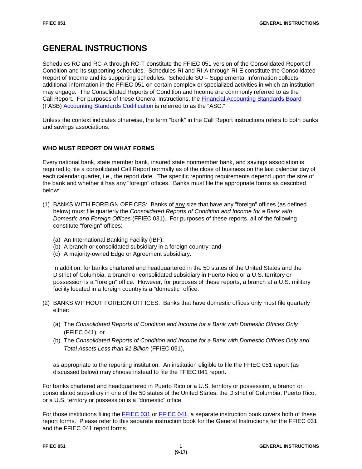# **GENERAL INSTRUCTIONS**

Schedules RC and RC-A through RC-T constitute the FFIEC 051 version of the Consolidated Report of Condition and its supporting schedules. Schedules RI and RI-A through RI-E constitute the Consolidated Report of Income and its supporting schedules. Schedule SU – Supplemental Information collects additional information in the FFIEC 051 on certain complex or specialized activities in which an institution may engage. The Consolidated Reports of Condition and Income are commonly referred to as the Call Report. For purposes of these General Instructions, the [Financial Accounting Standards Board](http://www.fasb.org/home) (FASB) [Accounting Standards Codification](https://asc.fasb.org/) is referred to as the "ASC."

Unless the context indicates otherwise, the term "bank" in the Call Report instructions refers to both banks and savings associations.

# **WHO MUST REPORT ON WHAT FORMS**

Every national bank, state member bank, insured state nonmember bank, and savings association is required to file a consolidated Call Report normally as of the close of business on the last calendar day of each calendar quarter, i.e., the report date. The specific reporting requirements depend upon the size of the bank and whether it has any "foreign" offices. Banks must file the appropriate forms as described below:

- (1) BANKS WITH FOREIGN OFFICES: Banks of any size that have any "foreign" offices (as defined below) must file quarterly the *Consolidated Reports of Condition and Income for a Bank with Domestic and Foreign Offices* (FFIEC 031). For purposes of these reports, all of the following constitute "foreign" offices:
	- (a) An International Banking Facility (IBF);
	- (b) A branch or consolidated subsidiary in a foreign country; and
	- (c) A majority-owned Edge or Agreement subsidiary.

In addition, for banks chartered and headquartered in the 50 states of the United States and the District of Columbia, a branch or consolidated subsidiary in Puerto Rico or a U.S. territory or possession is a "foreign" office. However, for purposes of these reports, a branch at a U.S. military facility located in a foreign country is a "domestic" office.

- (2) BANKS WITHOUT FOREIGN OFFICES: Banks that have domestic offices only must file quarterly either:
	- (a) The *Consolidated Reports of Condition and Income for a Bank with Domestic Offices Only*  (FFIEC 041); or
	- (b) The *Consolidated Reports of Condition and Income for a Bank with Domestic Offices Only and Total Assets Less than \$1 Billion* (FFIEC 051),

as appropriate to the reporting institution. An institution eligible to file the FFIEC 051 report (as discussed below) may choose instead to file the FFIEC 041 report.

For banks chartered and headquartered in Puerto Rico or a U.S. territory or possession, a branch or consolidated subsidiary in one of the 50 states of the United States, the District of Columbia, Puerto Rico, or a U.S. territory or possession is a "domestic" office.

For those institutions filing the [FFIEC 031](https://www.ffiec.gov/forms031.htm) or [FFIEC 041,](https://www.ffiec.gov/forms041.htm) a separate instruction book covers both of these report forms. Please refer to this separate instruction book for the General Instructions for the FFIEC 031 and the FFIEC 041 report forms.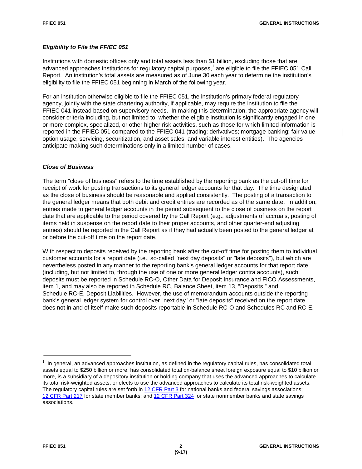# *Eligibility to File the FFIEC 051*

Institutions with domestic offices only and total assets less than \$1 billion, excluding those that are advanced approaches institutions for regulatory capital purposes, <sup>1</sup> are eligible to file the FFIEC 051 Call Report. An institution's total assets are measured as of June 30 each year to determine the institution's eligibility to file the FFIEC 051 beginning in March of the following year.

For an institution otherwise eligible to file the FFIEC 051, the institution's primary federal regulatory agency, jointly with the state chartering authority, if applicable, may require the institution to file the FFIEC 041 instead based on supervisory needs. In making this determination, the appropriate agency will consider criteria including, but not limited to, whether the eligible institution is significantly engaged in one or more complex, specialized, or other higher risk activities, such as those for which limited information is reported in the FFIEC 051 compared to the FFIEC 041 (trading; derivatives; mortgage banking; fair value option usage; servicing, securitization, and asset sales; and variable interest entities). The agencies anticipate making such determinations only in a limited number of cases.

# *Close of Business*

The term "close of business" refers to the time established by the reporting bank as the cut-off time for receipt of work for posting transactions to its general ledger accounts for that day. The time designated as the close of business should be reasonable and applied consistently. The posting of a transaction to the general ledger means that both debit and credit entries are recorded as of the same date. In addition, entries made to general ledger accounts in the period subsequent to the close of business on the report date that are applicable to the period covered by the Call Report (e.g., adjustments of accruals, posting of items held in suspense on the report date to their proper accounts, and other quarter-end adjusting entries) should be reported in the Call Report as if they had actually been posted to the general ledger at or before the cut-off time on the report date.

With respect to deposits received by the reporting bank after the cut-off time for posting them to individual customer accounts for a report date (i.e., so-called "next day deposits" or "late deposits"), but which are nevertheless posted in any manner to the reporting bank's general ledger accounts for that report date (including, but not limited to, through the use of one or more general ledger contra accounts), such deposits must be reported in Schedule RC-O, Other Data for Deposit Insurance and FICO Assessments, item 1, and may also be reported in Schedule RC, Balance Sheet, item 13, "Deposits," and Schedule RC-E, Deposit Liabilities. However, the use of memorandum accounts outside the reporting bank's general ledger system for control over "next day" or "late deposits" received on the report date does not in and of itself make such deposits reportable in Schedule RC-O and Schedules RC and RC-E.

<sup>&</sup>lt;sup>1</sup> In general, an advanced approaches institution, as defined in the regulatory capital rules, has consolidated total assets equal to \$250 billion or more, has consolidated total on-balance sheet foreign exposure equal to \$10 billion or more, is a subsidiary of a depository institution or holding company that uses the advanced approaches to calculate its total risk-weighted assets, or elects to use the advanced approaches to calculate its total risk-weighted assets. The regulatory capital rules are set forth in [12 CFR Part 3](https://www.gpo.gov/fdsys/pkg/CFR-2016-title12-vol1/pdf/CFR-2016-title12-vol1-part3.pdf) for national banks and federal savings associations; 12 [CFR Part 217](https://www.gpo.gov/fdsys/pkg/CFR-2016-title12-vol2/pdf/CFR-2016-title12-vol2-part217.pdf) for state member banks; and [12 CFR Part 324](https://www.gpo.gov/fdsys/pkg/CFR-2016-title12-vol5/pdf/CFR-2016-title12-vol5-part324.pdf) for state nonmember banks and state savings associations.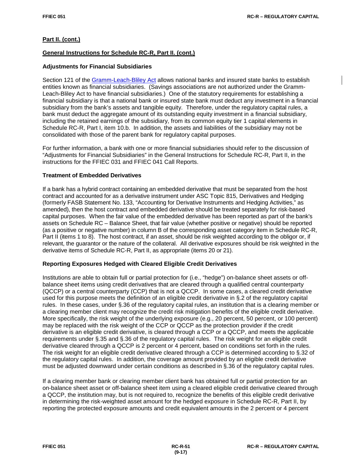# **General Instructions for Schedule RC-R, Part II. (cont.)**

# **Adjustments for Financial Subsidiaries**

Section 121 of the [Gramm-Leach-Bliley Act](https://www.gpo.gov/fdsys/pkg/PLAW-106publ102/pdf/PLAW-106publ102.pdf) allows national banks and insured state banks to establish entities known as financial subsidiaries. (Savings associations are not authorized under the Gramm-Leach-Bliley Act to have financial subsidiaries.) One of the statutory requirements for establishing a financial subsidiary is that a national bank or insured state bank must deduct any investment in a financial subsidiary from the bank's assets and tangible equity. Therefore, under the regulatory capital rules, a bank must deduct the aggregate amount of its outstanding equity investment in a financial subsidiary, including the retained earnings of the subsidiary, from its common equity tier 1 capital elements in Schedule RC-R, Part I, item 10.b. In addition, the assets and liabilities of the subsidiary may not be consolidated with those of the parent bank for regulatory capital purposes.

For further information, a bank with one or more financial subsidiaries should refer to the discussion of "Adjustments for Financial Subsidiaries" in the General Instructions for Schedule RC-R, Part II, in the instructions for the FFIEC 031 and FFIEC 041 Call Reports.

# **Treatment of Embedded Derivatives**

If a bank has a hybrid contract containing an embedded derivative that must be separated from the host contract and accounted for as a derivative instrument under ASC Topic 815, Derivatives and Hedging (formerly FASB Statement No. 133, "Accounting for Derivative Instruments and Hedging Activities," as amended), then the host contract and embedded derivative should be treated separately for risk-based capital purposes. When the fair value of the embedded derivative has been reported as part of the bank's assets on Schedule RC – Balance Sheet, that fair value (whether positive or negative) should be reported (as a positive or negative number) in column B of the corresponding asset category item in Schedule RC-R, Part II (items 1 to 8). The host contract, if an asset, should be risk weighted according to the obligor or, if relevant, the guarantor or the nature of the collateral. All derivative exposures should be risk weighted in the derivative items of Schedule RC-R, Part II, as appropriate (items 20 or 21).

# **Reporting Exposures Hedged with Cleared Eligible Credit Derivatives**

Institutions are able to obtain full or partial protection for (i.e., "hedge") on-balance sheet assets or offbalance sheet items using credit derivatives that are cleared through a qualified central counterparty (QCCP) or a central counterparty (CCP) that is not a QCCP. In some cases, a cleared credit derivative used for this purpose meets the definition of an eligible credit derivative in §.2 of the regulatory capital rules. In these cases, under §.36 of the regulatory capital rules, an institution that is a clearing member or a clearing member client may recognize the credit risk mitigation benefits of the eligible credit derivative. More specifically, the risk weight of the underlying exposure (e.g., 20 percent, 50 percent, or 100 percent) may be replaced with the risk weight of the CCP or QCCP as the protection provider if the credit derivative is an eligible credit derivative, is cleared through a CCP or a QCCP, and meets the applicable requirements under §.35 and §.36 of the regulatory capital rules. The risk weight for an eligible credit derivative cleared through a QCCP is 2 percent or 4 percent, based on conditions set forth in the rules. The risk weight for an eligible credit derivative cleared through a CCP is determined according to §.32 of the regulatory capital rules. In addition, the coverage amount provided by an eligible credit derivative must be adjusted downward under certain conditions as described in §.36 of the regulatory capital rules.

If a clearing member bank or clearing member client bank has obtained full or partial protection for an on-balance sheet asset or off-balance sheet item using a cleared eligible credit derivative cleared through a QCCP, the institution may, but is not required to, recognize the benefits of this eligible credit derivative in determining the risk-weighted asset amount for the hedged exposure in Schedule RC-R, Part II, by reporting the protected exposure amounts and credit equivalent amounts in the 2 percent or 4 percent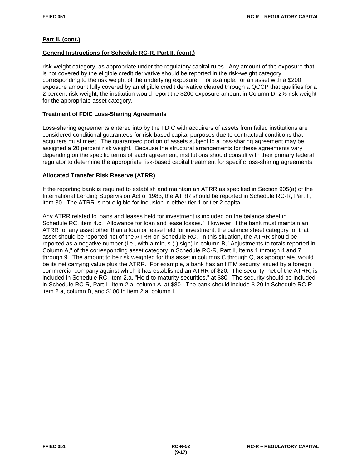# **General Instructions for Schedule RC-R, Part II. (cont.)**

risk-weight category, as appropriate under the regulatory capital rules. Any amount of the exposure that is not covered by the eligible credit derivative should be reported in the risk-weight category corresponding to the risk weight of the underlying exposure. For example, for an asset with a \$200 exposure amount fully covered by an eligible credit derivative cleared through a QCCP that qualifies for a 2 percent risk weight, the institution would report the \$200 exposure amount in Column D–2% risk weight for the appropriate asset category.

# **Treatment of FDIC Loss-Sharing Agreements**

Loss-sharing agreements entered into by the FDIC with acquirers of assets from failed institutions are considered conditional guarantees for risk-based capital purposes due to contractual conditions that acquirers must meet. The guaranteed portion of assets subject to a loss-sharing agreement may be assigned a 20 percent risk weight. Because the structural arrangements for these agreements vary depending on the specific terms of each agreement, institutions should consult with their primary federal regulator to determine the appropriate risk-based capital treatment for specific loss-sharing agreements.

# **Allocated Transfer Risk Reserve (ATRR)**

If the reporting bank is required to establish and maintain an ATRR as specified in Section 905(a) of the International Lending Supervision Act of 1983, the ATRR should be reported in Schedule RC-R, Part II, item 30. The ATRR is not eligible for inclusion in either tier 1 or tier 2 capital.

Any ATRR related to loans and leases held for investment is included on the balance sheet in Schedule RC, item 4.c, "Allowance for loan and lease losses." However, if the bank must maintain an ATRR for any asset other than a loan or lease held for investment, the balance sheet category for that asset should be reported net of the ATRR on Schedule RC. In this situation, the ATRR should be reported as a negative number (i.e., with a minus (-) sign) in column B, "Adjustments to totals reported in Column A," of the corresponding asset category in Schedule RC-R, Part II, items 1 through 4 and 7 through 9. The amount to be risk weighted for this asset in columns C through Q, as appropriate, would be its net carrying value plus the ATRR. For example, a bank has an HTM security issued by a foreign commercial company against which it has established an ATRR of \$20. The security, net of the ATRR, is included in Schedule RC, item 2.a, "Held-to-maturity securities," at \$80. The security should be included in Schedule RC-R, Part II, item 2.a, column A, at \$80. The bank should include \$-20 in Schedule RC-R, item 2.a, column B, and \$100 in item 2.a, column I.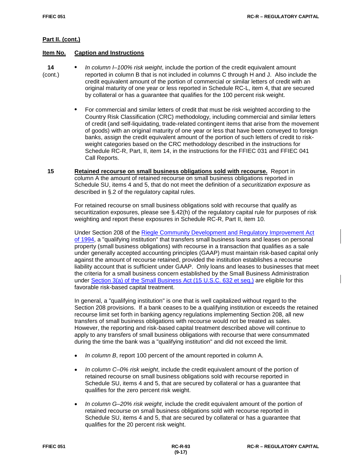# **Item No. Caption and Instructions**

- **14 •** *In column I–100% risk weight*, include the portion of the credit equivalent amount (cont.) reported in column B that is not included in columns C through H and J. Also include the credit equivalent amount of the portion of commercial or similar letters of credit with an original maturity of one year or less reported in Schedule RC-L, item 4, that are secured by collateral or has a guarantee that qualifies for the 100 percent risk weight.
	- **•** For commercial and similar letters of credit that must be risk weighted according to the Country Risk Classification (CRC) methodology, including commercial and similar letters of credit (and self-liquidating, trade-related contingent items that arise from the movement of goods) with an original maturity of one year or less that have been conveyed to foreign banks, assign the credit equivalent amount of the portion of such letters of credit to riskweight categories based on the CRC methodology described in the instructions for Schedule RC-R, Part, II, item 14, in the instructions for the FFIEC 031 and FFIEC 041 Call Reports.
	- **15 Retained recourse on small business obligations sold with recourse.**Report in column A the amount of retained recourse on small business obligations reported in Schedule SU, items 4 and 5, that do not meet the definition of a *securitization exposure* as described in §.2 of the regulatory capital rules.

For retained recourse on small business obligations sold with recourse that qualify as securitization exposures, please see §.42(h) of the regulatory capital rule for purposes of risk weighting and report these exposures in Schedule RC-R, Part II, item 10.

Under Section 208 of the [Riegle Community Development and Regulatory Improvement Act](https://www.gpo.gov/fdsys/pkg/STATUTE-108/pdf/STATUTE-108-Pg2160.pdf)  [of 1994,](https://www.gpo.gov/fdsys/pkg/STATUTE-108/pdf/STATUTE-108-Pg2160.pdf) a "qualifying institution" that transfers small business loans and leases on personal property (small business obligations) with recourse in a transaction that qualifies as a sale under generally accepted accounting principles (GAAP) must maintain risk-based capital only against the amount of recourse retained, provided the institution establishes a recourse liability account that is sufficient under GAAP. Only loans and leases to businesses that meet the criteria for a small business concern established by the Small Business Administration under [Section 3\(a\) of the Small Business Act \(15 U.S.C. 632 et seq.\)](http://uscode.house.gov/view.xhtml?req=granuleid:USC-prelim-title15-section632&num=0&edition=prelim) are eligible for this favorable risk-based capital treatment.

In general, a "qualifying institution" is one that is well capitalized without regard to the Section 208 provisions. If a bank ceases to be a qualifying institution or exceeds the retained recourse limit set forth in banking agency regulations implementing Section 208, all new transfers of small business obligations with recourse would not be treated as sales. However, the reporting and risk-based capital treatment described above will continue to apply to any transfers of small business obligations with recourse that were consummated during the time the bank was a "qualifying institution" and did not exceed the limit.

- *In column B*, report 100 percent of the amount reported in column A.
- *In column C–0% risk weight*, include the credit equivalent amount of the portion of retained recourse on small business obligations sold with recourse reported in Schedule SU, items 4 and 5, that are secured by collateral or has a guarantee that qualifies for the zero percent risk weight.
- *In column G–20% risk weight*, include the credit equivalent amount of the portion of retained recourse on small business obligations sold with recourse reported in Schedule SU, items 4 and 5, that are secured by collateral or has a guarantee that qualifies for the 20 percent risk weight.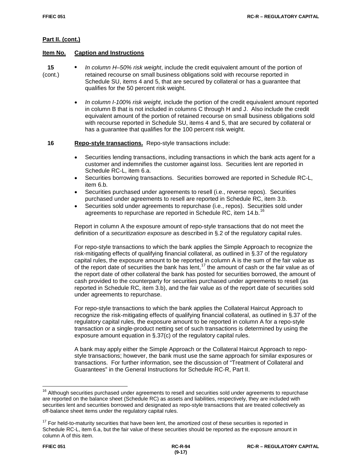# **Item No. Caption and Instructions**

- **15 •** *In column H–50% risk weight*, include the credit equivalent amount of the portion of (cont.) retained recourse on small business obligations sold with recourse reported in Schedule SU, items 4 and 5, that are secured by collateral or has a guarantee that qualifies for the 50 percent risk weight.
	- *In column I-100% risk weight*, include the portion of the credit equivalent amount reported in column B that is not included in columns C through H and J. Also include the credit equivalent amount of the portion of retained recourse on small business obligations sold with recourse reported in Schedule SU, items 4 and 5, that are secured by collateral or has a guarantee that qualifies for the 100 percent risk weight.

 **16 Repo-style transactions.** Repo-style transactions include:

- Securities lending transactions, including transactions in which the bank acts agent for a customer and indemnifies the customer against loss. Securities lent are reported in Schedule RC-L, item 6.a.
- Securities borrowing transactions. Securities borrowed are reported in Schedule RC-L, item 6.b.
- Securities purchased under agreements to resell (i.e., reverse repos). Securities purchased under agreements to resell are reported in Schedule RC, item 3.b.
- Securities sold under agreements to repurchase (i.e., repos). Securities sold under agreements to repurchase are reported in Schedule RC, item 14.b. <sup>[16](#page-7-0)</sup>

Report in column A the exposure amount of repo-style transactions that do not meet the definition of a *securitization exposure* as described in §.2 of the regulatory capital rules.

For repo-style transactions to which the bank applies the Simple Approach to recognize the risk-mitigating effects of qualifying financial collateral, as outlined in §.37 of the regulatory capital rules, the exposure amount to be reported in column A is the sum of the fair value as of the report date of securities the bank has lent,  $17$  the amount of cash or the fair value as of the report date of other collateral the bank has posted for securities borrowed, the amount of cash provided to the counterparty for securities purchased under agreements to resell (as reported in Schedule RC, item 3.b), and the fair value as of the report date of securities sold under agreements to repurchase.

For repo-style transactions to which the bank applies the Collateral Haircut Approach to recognize the risk-mitigating effects of qualifying financial collateral, as outlined in §.37 of the regulatory capital rules, the exposure amount to be reported in column A for a repo-style transaction or a single-product netting set of such transactions is determined by using the exposure amount equation in §.37(c) of the regulatory capital rules.

A bank may apply either the Simple Approach or the Collateral Haircut Approach to repostyle transactions; however, the bank must use the same approach for similar exposures or transactions. For further information, see the discussion of "Treatment of Collateral and Guarantees" in the General Instructions for Schedule RC-R, Part II.

<span id="page-7-0"></span> $\overline{1}$ <sup>16</sup> Although securities purchased under agreements to resell and securities sold under agreements to repurchase are reported on the balance sheet (Schedule RC) as assets and liabilities, respectively, they are included with securities lent and securities borrowed and designated as repo-style transactions that are treated collectively as off-balance sheet items under the regulatory capital rules.

<span id="page-7-1"></span> $17$  For held-to-maturity securities that have been lent, the amortized cost of these securities is reported in Schedule RC-L, item 6.a, but the fair value of these securities should be reported as the exposure amount in column A of this item.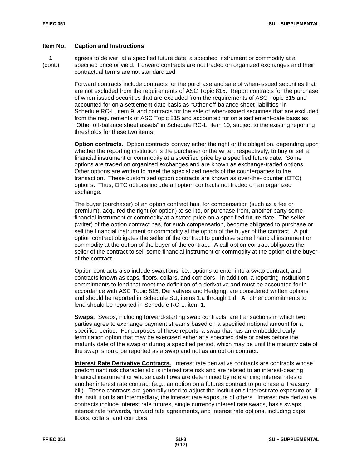1 agrees to deliver, at a specified future date, a specified instrument or commodity at a<br>
(cont.) specified price or yield. Forward contracts are not traded on organized exchanges are specified price or yield. Forward contracts are not traded on organized exchanges and their contractual terms are not standardized.

> Forward contracts include contracts for the purchase and sale of when-issued securities that are not excluded from the requirements of ASC Topic 815. Report contracts for the purchase of when-issued securities that are excluded from the requirements of ASC Topic 815 and accounted for on a settlement-date basis as "Other off-balance sheet liabilities" in Schedule RC-L, item 9, and contracts for the sale of when-issued securities that are excluded from the requirements of ASC Topic 815 and accounted for on a settlement-date basis as "Other off-balance sheet assets" in Schedule RC-L, item 10, subject to the existing reporting thresholds for these two items.

> **Option contracts.** Option contracts convey either the right or the obligation, depending upon whether the reporting institution is the purchaser or the writer, respectively, to buy or sell a financial instrument or commodity at a specified price by a specified future date. Some options are traded on organized exchanges and are known as exchange-traded options. Other options are written to meet the specialized needs of the counterparties to the transaction. These customized option contracts are known as over-the- counter (OTC) options. Thus, OTC options include all option contracts not traded on an organized exchange.

> The buyer (purchaser) of an option contract has, for compensation (such as a fee or premium), acquired the right (or option) to sell to, or purchase from, another party some financial instrument or commodity at a stated price on a specified future date. The seller (writer) of the option contract has, for such compensation, become obligated to purchase or sell the financial instrument or commodity at the option of the buyer of the contract. A put option contract obligates the seller of the contract to purchase some financial instrument or commodity at the option of the buyer of the contract. A call option contract obligates the seller of the contract to sell some financial instrument or commodity at the option of the buyer of the contract.

Option contracts also include swaptions, i.e., options to enter into a swap contract, and contracts known as caps, floors, collars, and corridors. In addition, a reporting institution's commitments to lend that meet the definition of a derivative and must be accounted for in accordance with ASC Topic 815, Derivatives and Hedging, are considered written options and should be reported in Schedule SU, items 1.a through 1.d. All other commitments to lend should be reported in Schedule RC-L, item 1.

**Swaps.** Swaps, including forward-starting swap contracts, are transactions in which two parties agree to exchange payment streams based on a specified notional amount for a specified period. For purposes of these reports, a swap that has an embedded early termination option that may be exercised either at a specified date or dates before the maturity date of the swap or during a specified period, which may be until the maturity date of the swap, should be reported as a swap and not as an option contract.

**Interest Rate Derivative Contracts.** Interest rate derivative contracts are contracts whose predominant risk characteristic is interest rate risk and are related to an interest-bearing financial instrument or whose cash flows are determined by referencing interest rates or another interest rate contract (e.g., an option on a futures contract to purchase a Treasury bill). These contracts are generally used to adjust the institution's interest rate exposure or, if the institution is an intermediary, the interest rate exposure of others. Interest rate derivative contracts include interest rate futures, single currency interest rate swaps, basis swaps, interest rate forwards, forward rate agreements, and interest rate options, including caps, floors, collars, and corridors.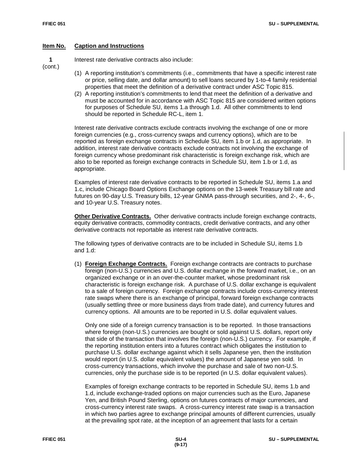**1** Interest rate derivative contracts also include:

(cont.)

- (1) A reporting institution's commitments (i.e., commitments that have a specific interest rate or price, selling date, and dollar amount) to sell loans secured by 1-to-4 family residential properties that meet the definition of a derivative contract under ASC Topic 815.
- (2) A reporting institution's commitments to lend that meet the definition of a derivative and must be accounted for in accordance with ASC Topic 815 are considered written options for purposes of Schedule SU, items 1.a through 1.d. All other commitments to lend should be reported in Schedule RC-L, item 1.

Interest rate derivative contracts exclude contracts involving the exchange of one or more foreign currencies (e.g., cross-currency swaps and currency options), which are to be reported as foreign exchange contracts in Schedule SU, item 1.b or 1.d, as appropriate. In addition, interest rate derivative contracts exclude contracts not involving the exchange of foreign currency whose predominant risk characteristic is foreign exchange risk, which are also to be reported as foreign exchange contracts in Schedule SU, item 1.b or 1.d, as appropriate.

Examples of interest rate derivative contracts to be reported in Schedule SU, items 1.a and 1.c, include Chicago Board Options Exchange options on the 13-week Treasury bill rate and futures on 90-day U.S. Treasury bills, 12-year GNMA pass-through securities, and 2-, 4-, 6-, and 10-year U.S. Treasury notes.

**Other Derivative Contracts.** Other derivative contracts include foreign exchange contracts, equity derivative contracts, commodity contracts, credit derivative contracts, and any other derivative contracts not reportable as interest rate derivative contracts.

The following types of derivative contracts are to be included in Schedule SU, items 1.b and 1.d:

(1) **Foreign Exchange Contracts.** Foreign exchange contracts are contracts to purchase foreign (non-U.S.) currencies and U.S. dollar exchange in the forward market, i.e., on an organized exchange or in an over-the-counter market, whose predominant risk characteristic is foreign exchange risk. A purchase of U.S. dollar exchange is equivalent to a sale of foreign currency. Foreign exchange contracts include cross-currency interest rate swaps where there is an exchange of principal, forward foreign exchange contracts (usually settling three or more business days from trade date), and currency futures and currency options. All amounts are to be reported in U.S. dollar equivalent values.

Only one side of a foreign currency transaction is to be reported. In those transactions where foreign (non-U.S.) currencies are bought or sold against U.S. dollars, report only that side of the transaction that involves the foreign (non-U.S.) currency. For example, if the reporting institution enters into a futures contract which obligates the institution to purchase U.S. dollar exchange against which it sells Japanese yen, then the institution would report (in U.S. dollar equivalent values) the amount of Japanese yen sold. In cross-currency transactions, which involve the purchase and sale of two non-U.S. currencies, only the purchase side is to be reported (in U.S. dollar equivalent values).

Examples of foreign exchange contracts to be reported in Schedule SU, items 1.b and 1.d, include exchange-traded options on major currencies such as the Euro, Japanese Yen, and British Pound Sterling, options on futures contracts of major currencies, and cross-currency interest rate swaps. A cross-currency interest rate swap is a transaction in which two parties agree to exchange principal amounts of different currencies, usually at the prevailing spot rate, at the inception of an agreement that lasts for a certain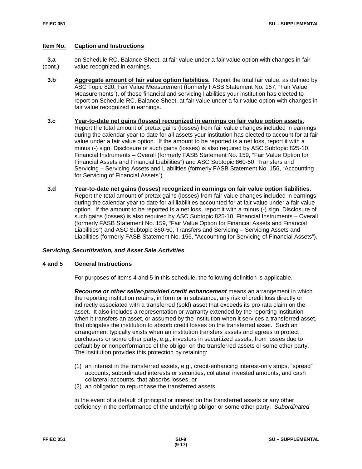**3.a** on Schedule RC, Balance Sheet, at fair value under a fair value option with changes in fair (cont.) value recognized in earnings. value recognized in earnings.

- **3.b Aggregate amount of fair value option liabilities.** Report the total fair value, as defined by ASC Topic 820, Fair Value Measurement (formerly FASB Statement No. 157, "Fair Value Measurements"), of those financial and servicing liabilities your institution has elected to report on Schedule RC, Balance Sheet, at fair value under a fair value option with changes in fair value recognized in earnings.
- **3.c Year-to-date net gains (losses) recognized in earnings on fair value option assets.**  Report the total amount of pretax gains (losses) from fair value changes included in earnings during the calendar year to date for all assets your institution has elected to account for at fair value under a fair value option. If the amount to be reported is a net loss, report it with a minus (-) sign. Disclosure of such gains (losses) is also required by ASC Subtopic 825-10, Financial Instruments – Overall (formerly FASB Statement No. 159, "Fair Value Option for Financial Assets and Financial Liabilities") and ASC Subtopic 860-50, Transfers and Servicing – Servicing Assets and Liabilities (formerly FASB Statement No. 156, "Accounting for Servicing of Financial Assets").
- **3.d Year-to-date net gains (losses) recognized in earnings on fair value option liabilities.**  Report the total amount of pretax gains (losses) from fair value changes included in earnings during the calendar year to date for all liabilities accounted for at fair value under a fair value option. If the amount to be reported is a net loss, report it with a minus (-) sign. Disclosure of such gains (losses) is also required by ASC Subtopic 825-10, Financial Instruments – Overall (formerly FASB Statement No. 159, "Fair Value Option for Financial Assets and Financial Liabilities") and ASC Subtopic 860-50, Transfers and Servicing – Servicing Assets and Liabilities (formerly FASB Statement No. 156, "Accounting for Servicing of Financial Assets").

# *Servicing, Securitization, and Asset Sale Activities*

#### **4 and 5 General Instructions**

For purposes of items 4 and 5 in this schedule, the following definition is applicable.

*Recourse or other seller-provided credit enhancement* **means an arrangement in which** the reporting institution retains, in form or in substance, any risk of credit loss directly or indirectly associated with a transferred (sold) asset that exceeds its pro rata claim on the asset. It also includes a representation or warranty extended by the reporting institution when it transfers an asset, or assumed by the institution when it services a transferred asset, that obligates the institution to absorb credit losses on the transferred asset. Such an arrangement typically exists when an institution transfers assets and agrees to protect purchasers or some other party, e.g., investors in securitized assets, from losses due to default by or nonperformance of the obligor on the transferred assets or some other party. The institution provides this protection by retaining:

- (1) an interest in the transferred assets, e.g., credit-enhancing interest-only strips, "spread" accounts, subordinated interests or securities, collateral invested amounts, and cash collateral accounts, that absorbs losses, or
- (2) an obligation to repurchase the transferred assets

in the event of a default of principal or interest on the transferred assets or any other deficiency in the performance of the underlying obligor or some other party. *Subordinated*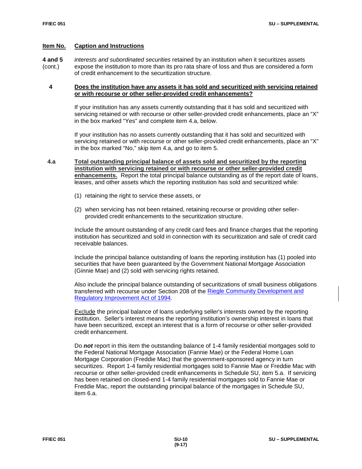**4 and 5** *interests and subordinated securities* retained by an institution when it securitizes assets expose the institution to more than its pro rata share of loss and thus are considered a form of credit enhancement to the securitization structure.

# **4 Does the institution have any assets it has sold and securitized with servicing retained or with recourse or other seller-provided credit enhancements?**

If your institution has any assets currently outstanding that it has sold and securitized with servicing retained or with recourse or other seller-provided credit enhancements, place an "X" in the box marked "Yes" and complete item 4.a, below.

If your institution has no assets currently outstanding that it has sold and securitized with servicing retained or with recourse or other seller-provided credit enhancements, place an "X" in the box marked "No," skip item 4.a, and go to item 5.

- **4.a Total outstanding principal balance of assets sold and securitized by the reporting institution with servicing retained or with recourse or other seller-provided credit enhancements.** Report the total principal balance outstanding as of the report date of loans, leases, and other assets which the reporting institution has sold and securitized while:
	- (1) retaining the right to service these assets, or
	- (2) when servicing has not been retained, retaining recourse or providing other sellerprovided credit enhancements to the securitization structure.

Include the amount outstanding of any credit card fees and finance charges that the reporting institution has securitized and sold in connection with its securitization and sale of credit card receivable balances.

Include the principal balance outstanding of loans the reporting institution has (1) pooled into securities that have been guaranteed by the Government National Mortgage Association (Ginnie Mae) and (2) sold with servicing rights retained.

Also include the principal balance outstanding of securitizations of small business obligations transferred with recourse under Section 208 of the [Riegle Community Development and](https://www.gpo.gov/fdsys/pkg/STATUTE-108/pdf/STATUTE-108-Pg2160.pdf)  [Regulatory Improvement Act of 1994.](https://www.gpo.gov/fdsys/pkg/STATUTE-108/pdf/STATUTE-108-Pg2160.pdf)

**Exclude the principal balance of loans underlying seller's interests owned by the reporting** institution. Seller's interest means the reporting institution's ownership interest in loans that have been securitized, except an interest that is a form of recourse or other seller-provided credit enhancement.

Do *not* report in this item the outstanding balance of 1-4 family residential mortgages sold to the Federal National Mortgage Association (Fannie Mae) or the Federal Home Loan Mortgage Corporation (Freddie Mac) that the government-sponsored agency in turn securitizes. Report 1-4 family residential mortgages sold to Fannie Mae or Freddie Mac with recourse or other seller-provided credit enhancements in Schedule SU, item 5.a. If servicing has been retained on closed-end 1-4 family residential mortgages sold to Fannie Mae or Freddie Mac, report the outstanding principal balance of the mortgages in Schedule SU, item 6.a.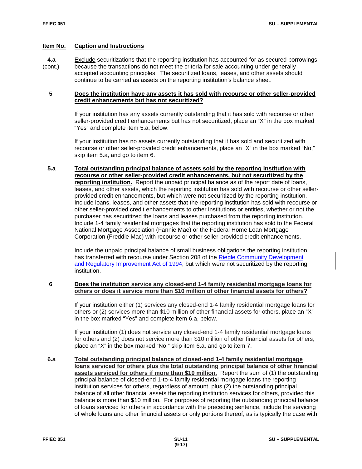**4.a** Exclude securitizations that the reporting institution has accounted for as secured borrowings

(cont.) because the transactions do not meet the criteria for sale accounting under generally accepted accounting principles. The securitized loans, leases, and other assets should continue to be carried as assets on the reporting institution's balance sheet.

# **5 Does the institution have any assets it has sold with recourse or other seller-provided credit enhancements but has not securitized?**

If your institution has any assets currently outstanding that it has sold with recourse or other seller-provided credit enhancements but has not securitized, place an "X" in the box marked "Yes" and complete item 5.a, below.

If your institution has no assets currently outstanding that it has sold and securitized with recourse or other seller-provided credit enhancements, place an "X" in the box marked "No," skip item 5.a, and go to item 6.

 **5.a Total outstanding principal balance of assets sold by the reporting institution with recourse or other seller-provided credit enhancements, but not securitized by the reporting institution.** Report the unpaid principal balance as of the report date of loans, leases, and other assets, which the reporting institution has sold with recourse or other sellerprovided credit enhancements, but which were not securitized by the reporting institution. Include loans, leases, and other assets that the reporting institution has sold with recourse or other seller-provided credit enhancements to other institutions or entities, whether or not the purchaser has securitized the loans and leases purchased from the reporting institution. Include 1-4 family residential mortgages that the reporting institution has sold to the Federal National Mortgage Association (Fannie Mae) or the Federal Home Loan Mortgage Corporation (Freddie Mac) with recourse or other seller-provided credit enhancements.

Include the unpaid principal balance of small business obligations the reporting institution has transferred with recourse under Section 208 of the Riegle [Community Development](https://www.gpo.gov/fdsys/pkg/STATUTE-108/pdf/STATUTE-108-Pg2160.pdf)  [and Regulatory Improvement Act of 1994,](https://www.gpo.gov/fdsys/pkg/STATUTE-108/pdf/STATUTE-108-Pg2160.pdf) but which were not securitized by the reporting institution.

# **6 Does the institution service any closed-end 1-4 family residential mortgage loans for others or does it service more than \$10 million of other financial assets for others?**

If your institution either (1) services any closed-end 1-4 family residential mortgage loans for others or (2) services more than \$10 million of other financial assets for others, place an "X" in the box marked "Yes" and complete item 6.a, below.

If your institution (1) does not service any closed-end 1-4 family residential mortgage loans for others and (2) does not service more than \$10 million of other financial assets for others, place an "X" in the box marked "No," skip item 6.a, and go to item 7.

 **6.a Total outstanding principal balance of closed-end 1-4 family residential mortgage loans serviced for others plus the total outstanding principal balance of other financial assets serviced for others if more than \$10 million.** Report the sum of (1) the outstanding principal balance of closed-end 1-to-4 family residential mortgage loans the reporting institution services for others, regardless of amount, plus (2) the outstanding principal balance of all other financial assets the reporting institution services for others, provided this balance is more than \$10 million. For purposes of reporting the outstanding principal balance of loans serviced for others in accordance with the preceding sentence, include the servicing of whole loans and other financial assets or only portions thereof, as is typically the case with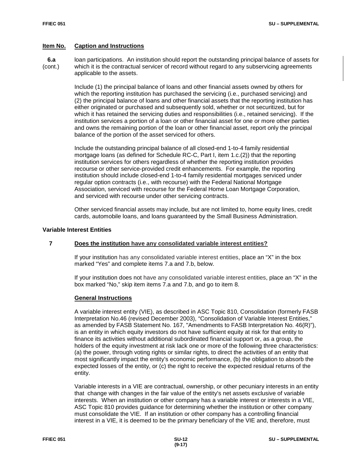**6.a** loan participations. An institution should report the outstanding principal balance of assets for (cont.) which it is the contractual servicer of record without regard to any subservicing agreements applicable to the assets.

> Include (1) the principal balance of loans and other financial assets owned by others for which the reporting institution has purchased the servicing (i.e., purchased servicing) and (2) the principal balance of loans and other financial assets that the reporting institution has either originated or purchased and subsequently sold, whether or not securitized, but for which it has retained the servicing duties and responsibilities (i.e., retained servicing). If the institution services a portion of a loan or other financial asset for one or more other parties and owns the remaining portion of the loan or other financial asset, report only the principal balance of the portion of the asset serviced for others.

Include the outstanding principal balance of all closed-end 1-to-4 family residential mortgage loans (as defined for Schedule RC-C, Part I, item 1.c.(2)) that the reporting institution services for others regardless of whether the reporting institution provides recourse or other service-provided credit enhancements. For example, the reporting institution should include closed-end 1-to-4 family residential mortgages serviced under regular option contracts (i.e., with recourse) with the Federal National Mortgage Association, serviced with recourse for the Federal Home Loan Mortgage Corporation, and serviced with recourse under other servicing contracts.

Other serviced financial assets may include, but are not limited to, home equity lines, credit cards, automobile loans, and loans guaranteed by the Small Business Administration.

# **Variable Interest Entities**

# **7 Does the institution have any consolidated variable interest entities?**

If your institution has any consolidated variable interest entities, place an "X" in the box marked "Yes" and complete items 7.a and 7.b, below.

If your institution does not have any consolidated variable interest entities, place an "X" in the box marked "No," skip item items 7.a and 7.b, and go to item 8.

#### **General Instructions**

A variable interest entity (VIE), as described in ASC Topic 810, Consolidation (formerly FASB Interpretation No.46 (revised December 2003), "Consolidation of Variable Interest Entities," as amended by FASB Statement No. 167, "Amendments to FASB Interpretation No. 46(R)"), is an entity in which equity investors do not have sufficient equity at risk for that entity to finance its activities without additional subordinated financial support or, as a group, the holders of the equity investment at risk lack one or more of the following three characteristics: (a) the power, through voting rights or similar rights, to direct the activities of an entity that most significantly impact the entity's economic performance, (b) the obligation to absorb the expected losses of the entity, or (c) the right to receive the expected residual returns of the entity.

Variable interests in a VIE are contractual, ownership, or other pecuniary interests in an entity that change with changes in the fair value of the entity's net assets exclusive of variable interests. When an institution or other company has a variable interest or interests in a VIE, ASC Topic 810 provides guidance for determining whether the institution or other company must consolidate the VIE. If an institution or other company has a controlling financial interest in a VIE, it is deemed to be the primary beneficiary of the VIE and, therefore, must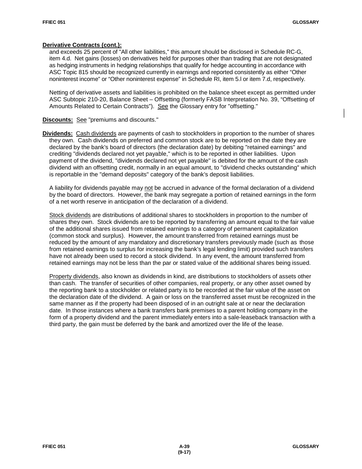#### **Derivative Contracts (cont.):**

and exceeds 25 percent of "All other liabilities," this amount should be disclosed in Schedule RC-G, item 4.d. Net gains (losses) on derivatives held for purposes other than trading that are not designated as hedging instruments in hedging relationships that qualify for hedge accounting in accordance with ASC Topic 815 should be recognized currently in earnings and reported consistently as either "Other noninterest income" or "Other noninterest expense" in Schedule RI, item 5.l or item 7.d, respectively.

Netting of derivative assets and liabilities is prohibited on the balance sheet except as permitted under ASC Subtopic 210-20, Balance Sheet – Offsetting (formerly FASB Interpretation No. 39, "Offsetting of Amounts Related to Certain Contracts"). See the Glossary entry for "offsetting."

**Discounts:** See "premiums and discounts."

**Dividends:** Cash dividends are payments of cash to stockholders in proportion to the number of shares they own. Cash dividends on preferred and common stock are to be reported on the date they are declared by the bank's board of directors (the declaration date) by debiting "retained earnings" and crediting "dividends declared not yet payable," which is to be reported in other liabilities. Upon payment of the dividend, "dividends declared not yet payable" is debited for the amount of the cash dividend with an offsetting credit, normally in an equal amount, to "dividend checks outstanding" which is reportable in the "demand deposits" category of the bank's deposit liabilities.

A liability for dividends payable may not be accrued in advance of the formal declaration of a dividend by the board of directors. However, the bank may segregate a portion of retained earnings in the form of a net worth reserve in anticipation of the declaration of a dividend.

Stock dividends are distributions of additional shares to stockholders in proportion to the number of shares they own. Stock dividends are to be reported by transferring an amount equal to the fair value of the additional shares issued from retained earnings to a category of permanent capitalization (common stock and surplus). However, the amount transferred from retained earnings must be reduced by the amount of any mandatory and discretionary transfers previously made (such as those from retained earnings to surplus for increasing the bank's legal lending limit) provided such transfers have not already been used to record a stock dividend. In any event, the amount transferred from retained earnings may not be less than the par or stated value of the additional shares being issued.

Property dividends, also known as dividends in kind, are distributions to stockholders of assets other than cash. The transfer of securities of other companies, real property, or any other asset owned by the reporting bank to a stockholder or related party is to be recorded at the fair value of the asset on the declaration date of the dividend. A gain or loss on the transferred asset must be recognized in the same manner as if the property had been disposed of in an outright sale at or near the declaration date. In those instances where a bank transfers bank premises to a parent holding company in the form of a property dividend and the parent immediately enters into a sale-leaseback transaction with a third party, the gain must be deferred by the bank and amortized over the life of the lease.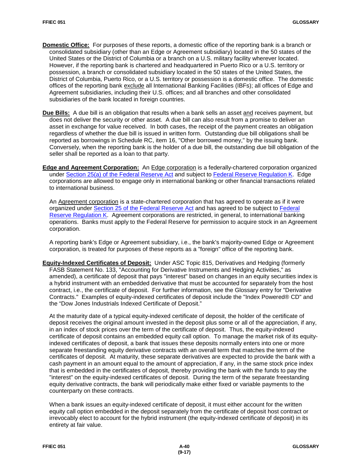- **Domestic Office:** For purposes of these reports, a domestic office of the reporting bank is a branch or consolidated subsidiary (other than an Edge or Agreement subsidiary) located in the 50 states of the United States or the District of Columbia or a branch on a U.S. military facility wherever located. However, if the reporting bank is chartered and headquartered in Puerto Rico or a U.S. territory or possession, a branch or consolidated subsidiary located in the 50 states of the United States, the District of Columbia, Puerto Rico, or a U.S. territory or possession is a domestic office. The domestic offices of the reporting bank exclude all International Banking Facilities (IBFs); all offices of Edge and Agreement subsidiaries, including their U.S. offices; and all branches and other consolidated subsidiaries of the bank located in foreign countries.
- **Due Bills:** A due bill is an obligation that results when a bank sells an asset and receives payment, but does not deliver the security or other asset. A due bill can also result from a promise to deliver an asset in exchange for value received. In both cases, the receipt of the payment creates an obligation regardless of whether the due bill is issued in written form. Outstanding due bill obligations shall be reported as borrowings in Schedule RC, item 16, "Other borrowed money," by the issuing bank. Conversely, when the reporting bank is the holder of a due bill, the outstanding due bill obligation of the seller shall be reported as a loan to that party.
- **Edge and Agreement Corporation:** An Edge corporation is a federally-chartered corporation organized under [Section 25\(a\) of the Federal Reserve Act](https://www.gpo.gov/fdsys/pkg/USCODE-2015-title12/pdf/USCODE-2015-title12-chap6-subchapI-sec601.pdf) and subject to [Federal Reserve Regulation K.](http://www.ecfr.gov/cgi-bin/text-idx?SID=e5eec385a42a805c2ac2224a79f6204a&mc=true&node=pt12.2.211&rgn=div5) Edge corporations are allowed to engage only in international banking or other financial transactions related to international business.

An Agreement corporation is a state-chartered corporation that has agreed to operate as if it were organized under [Section 25 of the Federal Reserve Act](https://www.gpo.gov/fdsys/pkg/USCODE-2015-title12/pdf/USCODE-2015-title12-chap6-subchapI-sec601.pdf) and has agreed to be subject to Federal [Reserve Regulation K.](http://www.ecfr.gov/cgi-bin/text-idx?SID=e5eec385a42a805c2ac2224a79f6204a&mc=true&node=pt12.2.211&rgn=div5) Agreement corporations are restricted, in general, to international banking operations. Banks must apply to the Federal Reserve for permission to acquire stock in an Agreement corporation.

A reporting bank's Edge or Agreement subsidiary, i.e., the bank's majority-owned Edge or Agreement corporation, is treated for purposes of these reports as a "foreign" office of the reporting bank.

**Equity-Indexed Certificates of Deposit:** Under ASC Topic 815, Derivatives and Hedging (formerly FASB Statement No. 133, "Accounting for Derivative Instruments and Hedging Activities," as amended), a certificate of deposit that pays "interest" based on changes in an equity securities index is a hybrid instrument with an embedded derivative that must be accounted for separately from the host contract, i.e., the certificate of deposit. For further information, see the Glossary entry for "Derivative Contracts." Examples of equity-indexed certificates of deposit include the "Index Powered® CD" and the "Dow Jones Industrials Indexed Certificate of Deposit."

At the maturity date of a typical equity-indexed certificate of deposit, the holder of the certificate of deposit receives the original amount invested in the deposit plus some or all of the appreciation, if any, in an index of stock prices over the term of the certificate of deposit. Thus, the equity-indexed certificate of deposit contains an embedded equity call option. To manage the market risk of its equityindexed certificates of deposit, a bank that issues these deposits normally enters into one or more separate freestanding equity derivative contracts with an overall term that matches the term of the certificates of deposit. At maturity, these separate derivatives are expected to provide the bank with a cash payment in an amount equal to the amount of appreciation, if any, in the same stock price index that is embedded in the certificates of deposit, thereby providing the bank with the funds to pay the "interest" on the equity-indexed certificates of deposit. During the term of the separate freestanding equity derivative contracts, the bank will periodically make either fixed or variable payments to the counterparty on these contracts.

When a bank issues an equity-indexed certificate of deposit, it must either account for the written equity call option embedded in the deposit separately from the certificate of deposit host contract or irrevocably elect to account for the hybrid instrument (the equity-indexed certificate of deposit) in its entirety at fair value.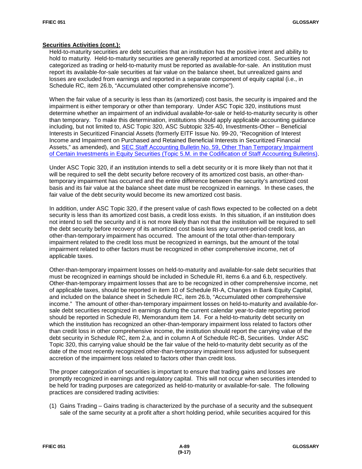#### **Securities Activities (cont.):**

Held-to-maturity securities are debt securities that an institution has the positive intent and ability to hold to maturity. Held-to-maturity securities are generally reported at amortized cost. Securities not categorized as trading or held-to-maturity must be reported as available-for-sale. An institution must report its available-for-sale securities at fair value on the balance sheet, but unrealized gains and losses are excluded from earnings and reported in a separate component of equity capital (i.e., in Schedule RC, item 26.b, "Accumulated other comprehensive income").

When the fair value of a security is less than its (amortized) cost basis, the security is impaired and the impairment is either temporary or other than temporary. Under ASC Topic 320, institutions must determine whether an impairment of an individual available-for-sale or held-to-maturity security is other than temporary. To make this determination, institutions should apply applicable accounting guidance including, but not limited to, ASC Topic 320, ASC Subtopic 325-40, Investments-Other – Beneficial Interests in Securitized Financial Assets (formerly EITF Issue No. 99-20, "Recognition of Interest Income and Impairment on Purchased and Retained Beneficial Interests in Securitized Financial Assets," as amended), and [SEC Staff Accounting Bulletin No. 59, Other Than Temporary Impairment](https://www.sec.gov/interps/account/sabcodet5.htm)  [of Certain Investments in Equity Securities \(Topic 5.M. in the Codification of Staff](https://www.sec.gov/interps/account/sabcodet5.htm) Accounting Bulletins).

Under ASC Topic 320, if an institution intends to sell a debt security or it is more likely than not that it will be required to sell the debt security before recovery of its amortized cost basis, an other-thantemporary impairment has occurred and the entire difference between the security's amortized cost basis and its fair value at the balance sheet date must be recognized in earnings. In these cases, the fair value of the debt security would become its new amortized cost basis.

In addition, under ASC Topic 320, if the present value of cash flows expected to be collected on a debt security is less than its amortized cost basis, a credit loss exists. In this situation, if an institution does not intend to sell the security and it is not more likely than not that the institution will be required to sell the debt security before recovery of its amortized cost basis less any current-period credit loss, an other-than-temporary impairment has occurred. The amount of the total other-than-temporary impairment related to the credit loss must be recognized in earnings, but the amount of the total impairment related to other factors must be recognized in other comprehensive income, net of applicable taxes.

Other-than-temporary impairment losses on held-to-maturity and available-for-sale debt securities that must be recognized in earnings should be included in Schedule RI, items 6.a and 6.b, respectively. Other-than-temporary impairment losses that are to be recognized in other comprehensive income, net of applicable taxes, should be reported in item 10 of Schedule RI-A, Changes in Bank Equity Capital, and included on the balance sheet in Schedule RC, item 26.b, "Accumulated other comprehensive income." The amount of other-than-temporary impairment losses on held-to-maturity and available-forsale debt securities recognized in earnings during the current calendar year-to-date reporting period should be reported in Schedule RI, Memorandum item 14. For a held-to-maturity debt security on which the institution has recognized an other-than-temporary impairment loss related to factors other than credit loss in other comprehensive income, the institution should report the carrying value of the debt security in Schedule RC, item 2.a, and in column A of Schedule RC-B, Securities. Under ASC Topic 320, this carrying value should be the fair value of the held-to-maturity debt security as of the date of the most recently recognized other-than-temporary impairment loss adjusted for subsequent accretion of the impairment loss related to factors other than credit loss.

The proper categorization of securities is important to ensure that trading gains and losses are promptly recognized in earnings and regulatory capital. This will not occur when securities intended to be held for trading purposes are categorized as held-to-maturity or available-for-sale. The following practices are considered trading activities:

(1) Gains Trading – Gains trading is characterized by the purchase of a security and the subsequent sale of the same security at a profit after a short holding period, while securities acquired for this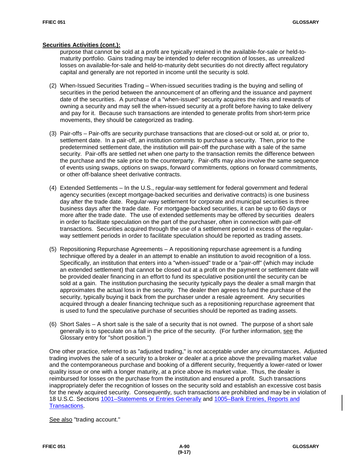#### **Securities Activities (cont.):**

purpose that cannot be sold at a profit are typically retained in the available-for-sale or held-tomaturity portfolio. Gains trading may be intended to defer recognition of losses, as unrealized losses on available-for-sale and held-to-maturity debt securities do not directly affect regulatory capital and generally are not reported in income until the security is sold.

- (2) When-Issued Securities Trading When-issued securities trading is the buying and selling of securities in the period between the announcement of an offering and the issuance and payment date of the securities. A purchase of a "when-issued" security acquires the risks and rewards of owning a security and may sell the when-issued security at a profit before having to take delivery and pay for it. Because such transactions are intended to generate profits from short-term price movements, they should be categorized as trading.
- (3) Pair-offs Pair-offs are security purchase transactions that are closed-out or sold at, or prior to, settlement date. In a pair-off, an institution commits to purchase a security. Then, prior to the predetermined settlement date, the institution will pair-off the purchase with a sale of the same security. Pair-offs are settled net when one party to the transaction remits the difference between the purchase and the sale price to the counterparty. Pair-offs may also involve the same sequence of events using swaps, options on swaps, forward commitments, options on forward commitments, or other off-balance sheet derivative contracts.
- (4) Extended Settlements In the U.S., regular-way settlement for federal government and federal agency securities (except mortgage-backed securities and derivative contracts) is one business day after the trade date. Regular-way settlement for corporate and municipal securities is three business days after the trade date. For mortgage-backed securities, it can be up to 60 days or more after the trade date. The use of extended settlements may be offered by securities dealers in order to facilitate speculation on the part of the purchaser, often in connection with pair-off transactions. Securities acquired through the use of a settlement period in excess of the regularway settlement periods in order to facilitate speculation should be reported as trading assets.
- (5) Repositioning Repurchase Agreements A repositioning repurchase agreement is a funding technique offered by a dealer in an attempt to enable an institution to avoid recognition of a loss. Specifically, an institution that enters into a "when-issued" trade or a "pair-off" (which may include an extended settlement) that cannot be closed out at a profit on the payment or settlement date will be provided dealer financing in an effort to fund its speculative positionuntil the security can be sold at a gain. The institution purchasing the security typically pays the dealer a small margin that approximates the actual loss in the security. The dealer then agrees to fund the purchase of the security, typically buying it back from the purchaser under a resale agreement. Any securities acquired through a dealer financing technique such as a repositioning repurchase agreement that is used to fund the speculative purchase of securities should be reported as trading assets.
- (6) Short Sales A short sale is the sale of a security that is not owned. The purpose of a short sale generally is to speculate on a fall in the price of the security. (For further information, see the Glossary entry for "short position.")

One other practice, referred to as "adjusted trading," is not acceptable under any circumstances. Adjusted trading involves the sale of a security to a broker or dealer at a price above the prevailing market value and the contemporaneous purchase and booking of a different security, frequently a lower-rated or lower quality issue or one with a longer maturity, at a price above its market value. Thus, the dealer is reimbursed for losses on the purchase from the institution and ensured a profit. Such transactions inappropriately defer the recognition of losses on the security sold and establish an excessive cost basis for the newly acquired security. Consequently, such transactions are prohibited and may be in violation of 18 U.S.C. Sections [1001–Statements or Entries Generally](https://www.gpo.gov/fdsys/pkg/USCODE-2015-title18/pdf/USCODE-2015-title18-partI-chap47-sec1001.pdf) and 1005–Bank [Entries, Reports and](https://www.gpo.gov/fdsys/pkg/USCODE-2015-title18/pdf/USCODE-2015-title18-partI-chap47-sec1005.pdf)  [Transactions.](https://www.gpo.gov/fdsys/pkg/USCODE-2015-title18/pdf/USCODE-2015-title18-partI-chap47-sec1005.pdf)

See also "trading account."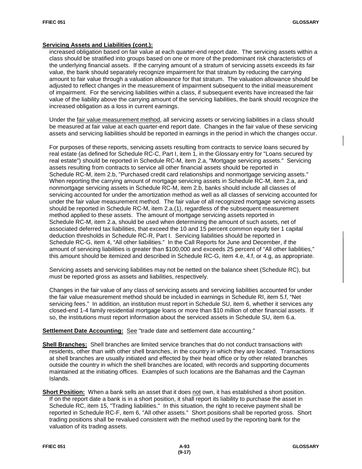### **Servicing Assets and Liabilities (cont.):**

increased obligation based on fair value at each quarter-end report date. The servicing assets within a class should be stratified into groups based on one or more of the predominant risk characteristics of the underlying financial assets. If the carrying amount of a stratum of servicing assets exceeds its fair value, the bank should separately recognize impairment for that stratum by reducing the carrying amount to fair value through a valuation allowance for that stratum. The valuation allowance should be adjusted to reflect changes in the measurement of impairment subsequent to the initial measurement of impairment. For the servicing liabilities within a class, if subsequent events have increased the fair value of the liability above the carrying amount of the servicing liabilities, the bank should recognize the increased obligation as a loss in current earnings.

Under the fair value measurement method, all servicing assets or servicing liabilities in a class should be measured at fair value at each quarter-end report date. Changes in the fair value of these servicing assets and servicing liabilities should be reported in earnings in the period in which the changes occur.

For purposes of these reports, servicing assets resulting from contracts to service loans secured by real estate (as defined for Schedule RC-C, Part I, item 1, in the Glossary entry for "Loans secured by real estate") should be reported in Schedule RC-M, item 2.a, "Mortgage servicing assets." Servicing assets resulting from contracts to service all other financial assets should be reported in Schedule RC-M, item 2.b, "Purchased credit card relationships and nonmortgage servicing assets." When reporting the carrying amount of mortgage servicing assets in Schedule RC-M, item 2.a, and nonmortgage servicing assets in Schedule RC-M, item 2.b, banks should include all classes of servicing accounted for under the amortization method as well as all classes of servicing accounted for under the fair value measurement method. The fair value of all recognized mortgage servicing assets should be reported in Schedule RC-M, item 2.a.(1), regardless of the subsequent measurement method applied to these assets. The amount of mortgage servicing assets reported in Schedule RC-M, item 2.a, should be used when determining the amount of such assets, net of associated deferred tax liabilities, that exceed the 10 and 15 percent common equity tier 1 capital deduction thresholds in Schedule RC-R, Part I. Servicing liabilities should be reported in Schedule RC-G, item 4, "All other liabilities." In the Call Reports for June and December, if the amount of servicing liabilities is greater than \$100,000 and exceeds 25 percent of "All other liabilities," this amount should be itemized and described in Schedule RC-G, item 4.e, 4.f, or 4.g, as appropriate.

Servicing assets and servicing liabilities may not be netted on the balance sheet (Schedule RC), but must be reported gross as assets and liabilities, respectively.

Changes in the fair value of any class of servicing assets and servicing liabilities accounted for under the fair value measurement method should be included in earnings in Schedule RI, item 5.f, "Net servicing fees." In addition, an institution must report in Schedule SU, item 6, whether it services any closed-end 1-4 family residential mortgage loans or more than \$10 million of other financial assets. If so, the institutions must report information about the serviced assets in Schedule SU, item 6.a.

#### **Settlement Date Accounting:** See "trade date and settlement date accounting."

- **Shell Branches:** Shell branches are limited service branches that do not conduct transactions with residents, other than with other shell branches, in the country in which they are located. Transactions at shell branches are usually initiated and effected by their head office or by other related branches outside the country in which the shell branches are located, with records and supporting documents maintained at the initiating offices. Examples of such locations are the Bahamas and the Cayman Islands.
- **Short Position:** When a bank sells an asset that it does not own, it has established a short position. If on the report date a bank is in a short position, it shall report its liability to purchase the asset in Schedule RC, item 15, "Trading liabilities." In this situation, the right to receive payment shall be reported in Schedule RC-F, item 6, "All other assets." Short positions shall be reported gross. Short trading positions shall be revalued consistent with the method used by the reporting bank for the valuation of its trading assets.